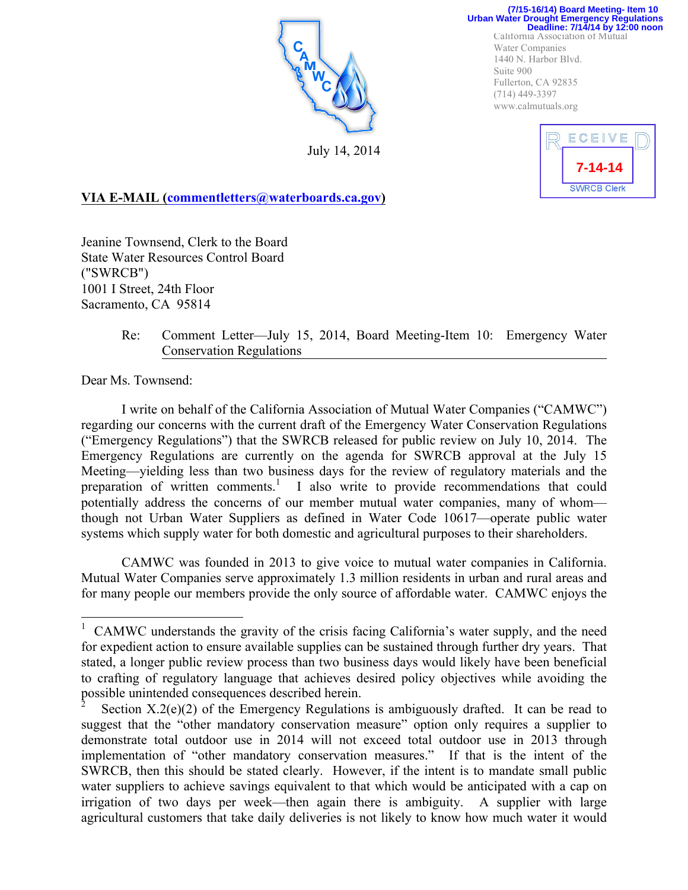

July 14, 2014

California Association of Mutual Water Companies 1440 N. Harbor Blvd. Suite 900 Fullerton, CA 92835 (714) 449-3397 www.calmutuals.org **Urban Water Drought Emergency Regulations Deadline: 7/14/14 by 12:00 noon**

**(7/15-16/14) Board Meeting- Item 10**



**VIA E-MAIL (commentletters@waterboards.ca.gov)**

Jeanine Townsend, Clerk to the Board State Water Resources Control Board ("SWRCB") 1001 I Street, 24th Floor Sacramento, CA 95814

## Re: Comment Letter—July 15, 2014, Board Meeting-Item 10: Emergency Water Conservation Regulations

Dear Ms. Townsend:

I write on behalf of the California Association of Mutual Water Companies ("CAMWC") regarding our concerns with the current draft of the Emergency Water Conservation Regulations ("Emergency Regulations") that the SWRCB released for public review on July 10, 2014. The Emergency Regulations are currently on the agenda for SWRCB approval at the July 15 Meeting—yielding less than two business days for the review of regulatory materials and the preparation of written comments.<sup>1</sup> I also write to provide recommendations that could potentially address the concerns of our member mutual water companies, many of whom though not Urban Water Suppliers as defined in Water Code 10617—operate public water systems which supply water for both domestic and agricultural purposes to their shareholders.

CAMWC was founded in 2013 to give voice to mutual water companies in California. Mutual Water Companies serve approximately 1.3 million residents in urban and rural areas and for many people our members provide the only source of affordable water. CAMWC enjoys the

<sup>&</sup>lt;sup>1</sup> CAMWC understands the gravity of the crisis facing California's water supply, and the need for expedient action to ensure available supplies can be sustained through further dry years. That stated, a longer public review process than two business days would likely have been beneficial to crafting of regulatory language that achieves desired policy objectives while avoiding the possible unintended consequences described herein.

Section  $X.2(e)(2)$  of the Emergency Regulations is ambiguously drafted. It can be read to suggest that the "other mandatory conservation measure" option only requires a supplier to demonstrate total outdoor use in 2014 will not exceed total outdoor use in 2013 through implementation of "other mandatory conservation measures." If that is the intent of the SWRCB, then this should be stated clearly. However, if the intent is to mandate small public water suppliers to achieve savings equivalent to that which would be anticipated with a cap on irrigation of two days per week—then again there is ambiguity. A supplier with large agricultural customers that take daily deliveries is not likely to know how much water it would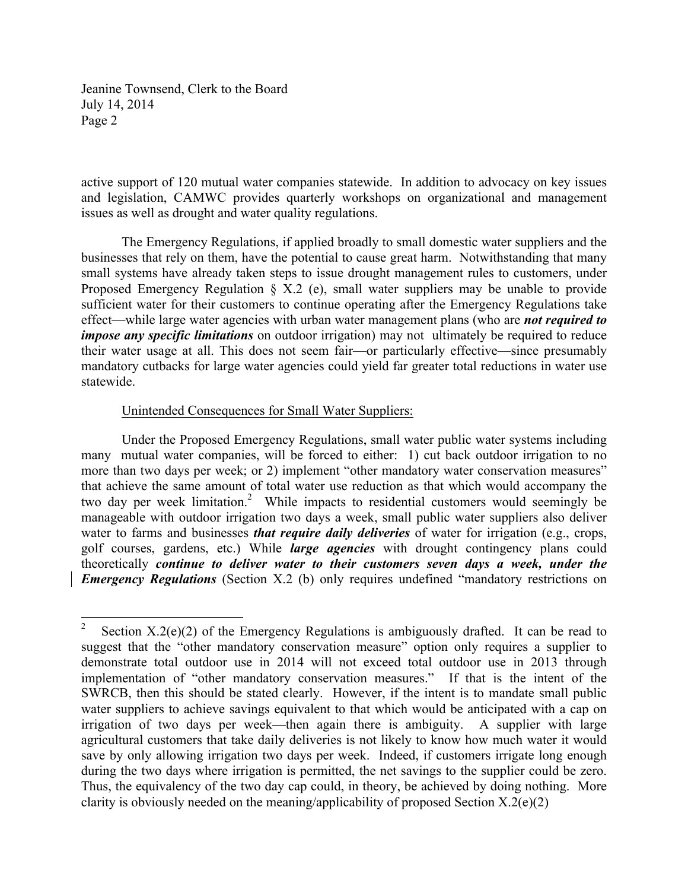Jeanine Townsend, Clerk to the Board July 14, 2014 Page 2

active support of 120 mutual water companies statewide. In addition to advocacy on key issues and legislation, CAMWC provides quarterly workshops on organizational and management issues as well as drought and water quality regulations.

The Emergency Regulations, if applied broadly to small domestic water suppliers and the businesses that rely on them, have the potential to cause great harm. Notwithstanding that many small systems have already taken steps to issue drought management rules to customers, under Proposed Emergency Regulation § X.2 (e), small water suppliers may be unable to provide sufficient water for their customers to continue operating after the Emergency Regulations take effect—while large water agencies with urban water management plans (who are *not required to impose any specific limitations* on outdoor irrigation) may not ultimately be required to reduce their water usage at all. This does not seem fair—or particularly effective—since presumably mandatory cutbacks for large water agencies could yield far greater total reductions in water use statewide.

## Unintended Consequences for Small Water Suppliers:

Under the Proposed Emergency Regulations, small water public water systems including many mutual water companies, will be forced to either: 1) cut back outdoor irrigation to no more than two days per week; or 2) implement "other mandatory water conservation measures" that achieve the same amount of total water use reduction as that which would accompany the two day per week limitation. 2 While impacts to residential customers would seemingly be manageable with outdoor irrigation two days a week, small public water suppliers also deliver water to farms and businesses *that require daily deliveries* of water for irrigation (e.g., crops, golf courses, gardens, etc.) While *large agencies* with drought contingency plans could theoretically *continue to deliver water to their customers seven days a week, under the Emergency Regulations* (Section X.2 (b) only requires undefined "mandatory restrictions on

<sup>&</sup>lt;sup>2</sup> Section X.2(e)(2) of the Emergency Regulations is ambiguously drafted. It can be read to suggest that the "other mandatory conservation measure" option only requires a supplier to demonstrate total outdoor use in 2014 will not exceed total outdoor use in 2013 through implementation of "other mandatory conservation measures." If that is the intent of the SWRCB, then this should be stated clearly. However, if the intent is to mandate small public water suppliers to achieve savings equivalent to that which would be anticipated with a cap on irrigation of two days per week—then again there is ambiguity. A supplier with large agricultural customers that take daily deliveries is not likely to know how much water it would save by only allowing irrigation two days per week. Indeed, if customers irrigate long enough during the two days where irrigation is permitted, the net savings to the supplier could be zero. Thus, the equivalency of the two day cap could, in theory, be achieved by doing nothing. More clarity is obviously needed on the meaning/applicability of proposed Section X.2(e)(2)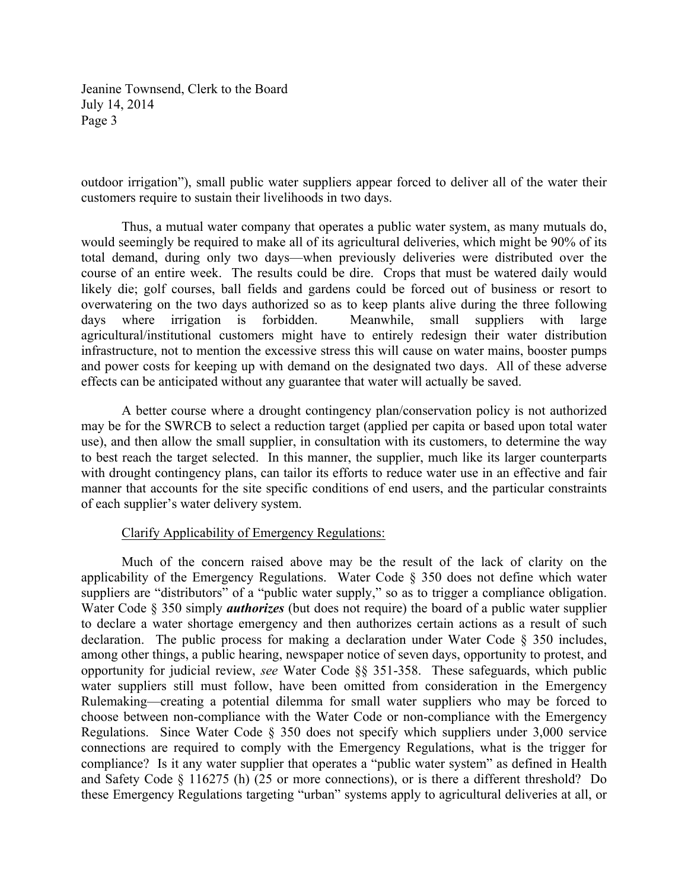Jeanine Townsend, Clerk to the Board July 14, 2014 Page 3

outdoor irrigation"), small public water suppliers appear forced to deliver all of the water their customers require to sustain their livelihoods in two days.

Thus, a mutual water company that operates a public water system, as many mutuals do, would seemingly be required to make all of its agricultural deliveries, which might be 90% of its total demand, during only two days—when previously deliveries were distributed over the course of an entire week. The results could be dire. Crops that must be watered daily would likely die; golf courses, ball fields and gardens could be forced out of business or resort to overwatering on the two days authorized so as to keep plants alive during the three following days where irrigation is forbidden. Meanwhile, small suppliers with large agricultural/institutional customers might have to entirely redesign their water distribution infrastructure, not to mention the excessive stress this will cause on water mains, booster pumps and power costs for keeping up with demand on the designated two days. All of these adverse effects can be anticipated without any guarantee that water will actually be saved.

A better course where a drought contingency plan/conservation policy is not authorized may be for the SWRCB to select a reduction target (applied per capita or based upon total water use), and then allow the small supplier, in consultation with its customers, to determine the way to best reach the target selected. In this manner, the supplier, much like its larger counterparts with drought contingency plans, can tailor its efforts to reduce water use in an effective and fair manner that accounts for the site specific conditions of end users, and the particular constraints of each supplier's water delivery system.

## Clarify Applicability of Emergency Regulations:

Much of the concern raised above may be the result of the lack of clarity on the applicability of the Emergency Regulations. Water Code § 350 does not define which water suppliers are "distributors" of a "public water supply," so as to trigger a compliance obligation. Water Code § 350 simply *authorizes* (but does not require) the board of a public water supplier to declare a water shortage emergency and then authorizes certain actions as a result of such declaration. The public process for making a declaration under Water Code § 350 includes, among other things, a public hearing, newspaper notice of seven days, opportunity to protest, and opportunity for judicial review, *see* Water Code §§ 351-358. These safeguards, which public water suppliers still must follow, have been omitted from consideration in the Emergency Rulemaking—creating a potential dilemma for small water suppliers who may be forced to choose between non-compliance with the Water Code or non-compliance with the Emergency Regulations. Since Water Code § 350 does not specify which suppliers under 3,000 service connections are required to comply with the Emergency Regulations, what is the trigger for compliance? Is it any water supplier that operates a "public water system" as defined in Health and Safety Code § 116275 (h) (25 or more connections), or is there a different threshold? Do these Emergency Regulations targeting "urban" systems apply to agricultural deliveries at all, or